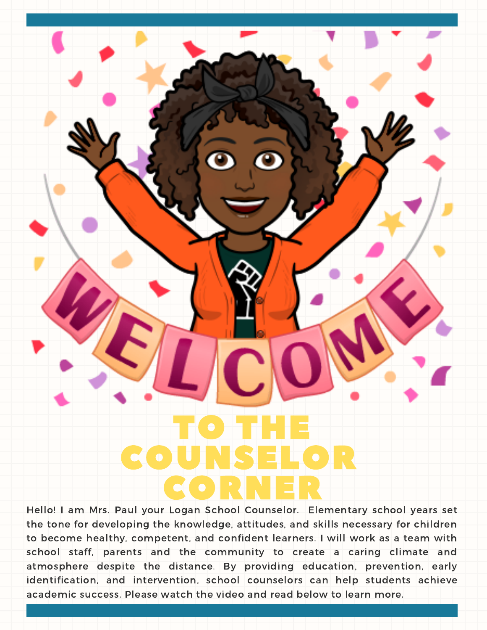TO THE COUNSELOR CORNER

Hello! I am Mrs. Paul your Logan School Counselor. Elementary school years set the tone for developing the knowledge, attitudes, and skills necessary for children to become healthy, competent, and confident learners. I will work as a team with school staff, parents and the community to create a caring climate and atmosphere despite the distance. By providing education, prevention, early identification, and intervention, school counselors can help students achieve academic success. Please watch the video and read below to learn more.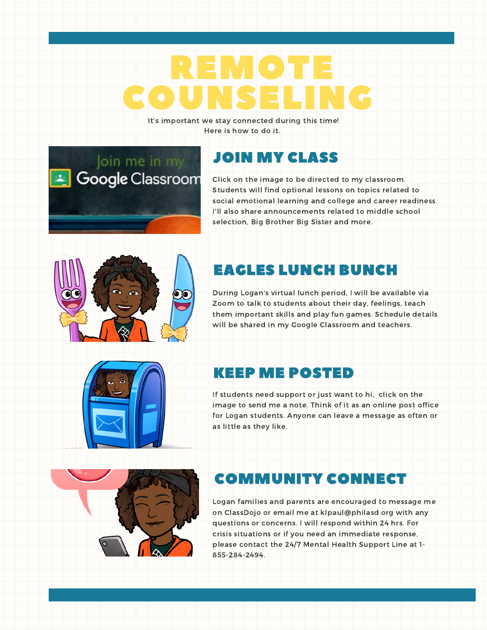# REMOTE COUNSELING

It's important we stay connected during this time! Here is how to do it.

#### JOIN MY [CLASS](https://classroom.google.com/c/MTQyNjkzNjMwOTg2?cjc=675vjhp)

Click on the image to be directed to my classroom. Students will find optional lessons on topics related to social emotional learning and college and career readiness. I'll also share announcements related to middle school selection, Big Brother Big Sister and more.



Join me in my

**Google Classroom** 

## EAGLES LUNCH BUNCH

During Logan's virtual lunch period, I will be available via Zoom to talk to students about their day, feelings, teach them important skills and play fun games. Schedule details will be shared in my Google Classroom and teachers.



#### KEEP ME POSTED

If students need support or just want to hi, click on the image to send me a note. Think of it as an online post office for Logan students. Anyone can leave a message as often or as little as they like.



## COMMUNITY CONNECT

Logan families and parents are encouraged to message me on ClassDojo or email me at klpaul@philasd.org with any questions or concerns. I will respond within 24 hrs. For crisis situations or if you need an immediate response, please contact the 24/7 Mental Health Support Line at 1- 855-284-2494.